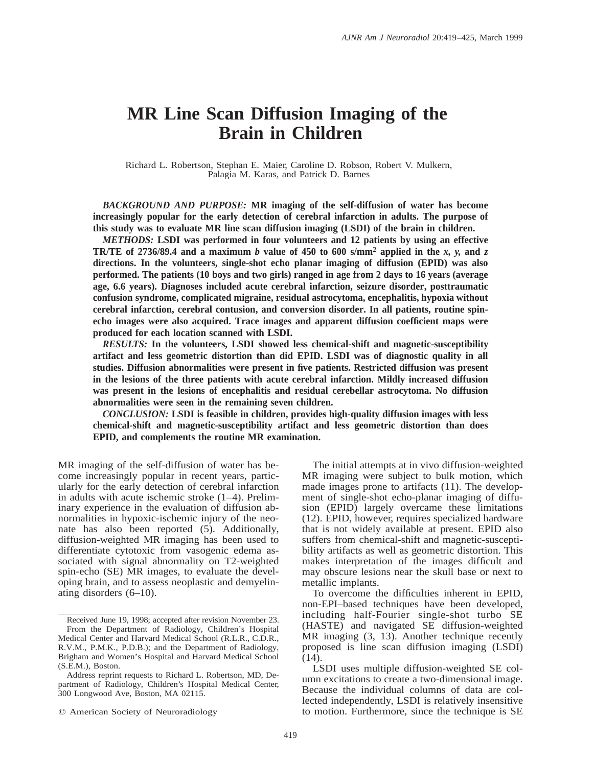# **MR Line Scan Diffusion Imaging of the Brain in Children**

Richard L. Robertson, Stephan E. Maier, Caroline D. Robson, Robert V. Mulkern, Palagia M. Karas, and Patrick D. Barnes

*BACKGROUND AND PURPOSE:* **MR imaging of the self-diffusion of water has become increasingly popular for the early detection of cerebral infarction in adults. The purpose of this study was to evaluate MR line scan diffusion imaging (LSDI) of the brain in children.**

*METHODS:* **LSDI was performed in four volunteers and 12 patients by using an effective TR/TE** of 2736/89.4 and a maximum *b* value of 450 to 600 s/mm<sup>2</sup> applied in the *x*, *y*, and *z* **directions. In the volunteers, single-shot echo planar imaging of diffusion (EPID) was also performed. The patients (10 boys and two girls) ranged in age from 2 days to 16 years (average age, 6.6 years). Diagnoses included acute cerebral infarction, seizure disorder, posttraumatic confusion syndrome, complicated migraine, residual astrocytoma, encephalitis, hypoxia without cerebral infarction, cerebral contusion, and conversion disorder. In all patients, routine spinecho images were also acquired. Trace images and apparent diffusion coefficient maps were produced for each location scanned with LSDI.**

*RESULTS:* **In the volunteers, LSDI showed less chemical-shift and magnetic-susceptibility artifact and less geometric distortion than did EPID. LSDI was of diagnostic quality in all studies. Diffusion abnormalities were present in five patients. Restricted diffusion was present in the lesions of the three patients with acute cerebral infarction. Mildly increased diffusion was present in the lesions of encephalitis and residual cerebellar astrocytoma. No diffusion abnormalities were seen in the remaining seven children.**

*CONCLUSION:* **LSDI is feasible in children, provides high-quality diffusion images with less chemical-shift and magnetic-susceptibility artifact and less geometric distortion than does EPID, and complements the routine MR examination.**

MR imaging of the self-diffusion of water has become increasingly popular in recent years, particularly for the early detection of cerebral infarction in adults with acute ischemic stroke (1–4). Preliminary experience in the evaluation of diffusion abnormalities in hypoxic-ischemic injury of the neonate has also been reported (5). Additionally, diffusion-weighted MR imaging has been used to differentiate cytotoxic from vasogenic edema associated with signal abnormality on T2-weighted spin-echo (SE) MR images, to evaluate the developing brain, and to assess neoplastic and demyelinating disorders (6–10).

The initial attempts at in vivo diffusion-weighted MR imaging were subject to bulk motion, which made images prone to artifacts (11). The development of single-shot echo-planar imaging of diffusion (EPID) largely overcame these limitations (12). EPID, however, requires specialized hardware that is not widely available at present. EPID also suffers from chemical-shift and magnetic-susceptibility artifacts as well as geometric distortion. This makes interpretation of the images difficult and may obscure lesions near the skull base or next to metallic implants.

To overcome the difficulties inherent in EPID, non-EPI–based techniques have been developed, including half-Fourier single-shot turbo SE (HASTE) and navigated SE diffusion-weighted MR imaging (3, 13). Another technique recently proposed is line scan diffusion imaging (LSDI) (14).

Received June 19, 1998; accepted after revision November 23. From the Department of Radiology, Children's Hospital Medical Center and Harvard Medical School (R.L.R., C.D.R., R.V.M., P.M.K., P.D.B.); and the Department of Radiology, Brigham and Women's Hospital and Harvard Medical School (S.E.M.), Boston.

Address reprint requests to Richard L. Robertson, MD, Department of Radiology, Children's Hospital Medical Center, 300 Longwood Ave, Boston, MA 02115.

 $©$  American Society of Neuroradiology

LSDI uses multiple diffusion-weighted SE column excitations to create a two-dimensional image. Because the individual columns of data are collected independently, LSDI is relatively insensitive to motion. Furthermore, since the technique is SE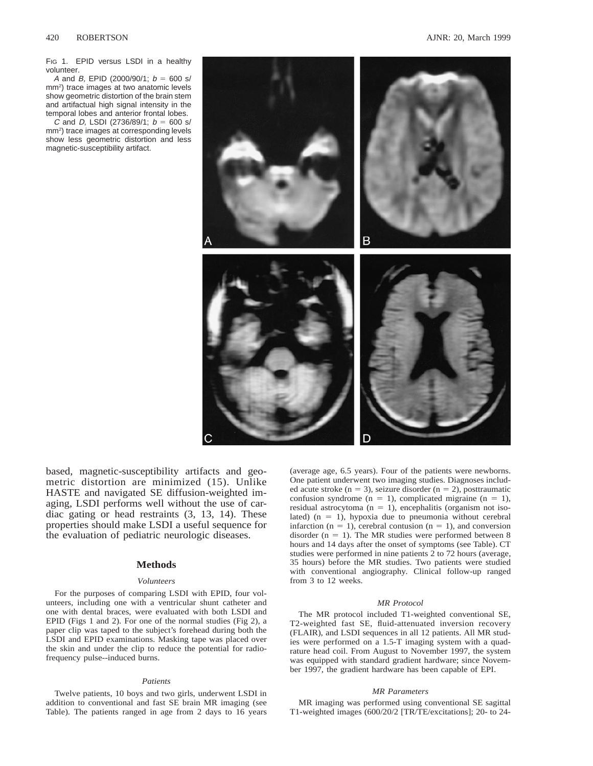FIG 1. EPID versus LSDI in a healthy volunteer.

A and B, EPID (2000/90/1;  $b = 600$  s/ mm2) trace images at two anatomic levels show geometric distortion of the brain stem and artifactual high signal intensity in the temporal lobes and anterior frontal lobes.

C and D, LSDI (2736/89/1;  $b = 600$  s/ mm2) trace images at corresponding levels show less geometric distortion and less magnetic-susceptibility artifact.



based, magnetic-susceptibility artifacts and geometric distortion are minimized (15). Unlike HASTE and navigated SE diffusion-weighted imaging, LSDI performs well without the use of cardiac gating or head restraints (3, 13, 14). These properties should make LSDI a useful sequence for the evaluation of pediatric neurologic diseases.

# **Methods**

#### *Volunteers*

For the purposes of comparing LSDI with EPID, four volunteers, including one with a ventricular shunt catheter and one with dental braces, were evaluated with both LSDI and EPID (Figs 1 and 2). For one of the normal studies (Fig 2), a paper clip was taped to the subject's forehead during both the LSDI and EPID examinations. Masking tape was placed over the skin and under the clip to reduce the potential for radiofrequency pulse--induced burns.

# *Patients*

Twelve patients, 10 boys and two girls, underwent LSDI in addition to conventional and fast SE brain MR imaging (see Table). The patients ranged in age from 2 days to 16 years

(average age, 6.5 years). Four of the patients were newborns. One patient underwent two imaging studies. Diagnoses included acute stroke (n = 3), seizure disorder (n = 2), posttraumatic confusion syndrome ( $n = 1$ ), complicated migraine ( $n = 1$ ), residual astrocytoma ( $n = 1$ ), encephalitis (organism not isolated)  $(n = 1)$ , hypoxia due to pneumonia without cerebral infarction ( $n = 1$ ), cerebral contusion ( $n = 1$ ), and conversion disorder ( $n = 1$ ). The MR studies were performed between 8 hours and 14 days after the onset of symptoms (see Table). CT studies were performed in nine patients 2 to 72 hours (average, 35 hours) before the MR studies. Two patients were studied with conventional angiography. Clinical follow-up ranged from 3 to 12 weeks.

#### *MR Protocol*

The MR protocol included T1-weighted conventional SE, T2-weighted fast SE, fluid-attenuated inversion recovery (FLAIR), and LSDI sequences in all 12 patients. All MR studies were performed on a 1.5-T imaging system with a quadrature head coil. From August to November 1997, the system was equipped with standard gradient hardware; since November 1997, the gradient hardware has been capable of EPI.

# *MR Parameters*

MR imaging was performed using conventional SE sagittal T1-weighted images (600/20/2 [TR/TE/excitations]; 20- to 24-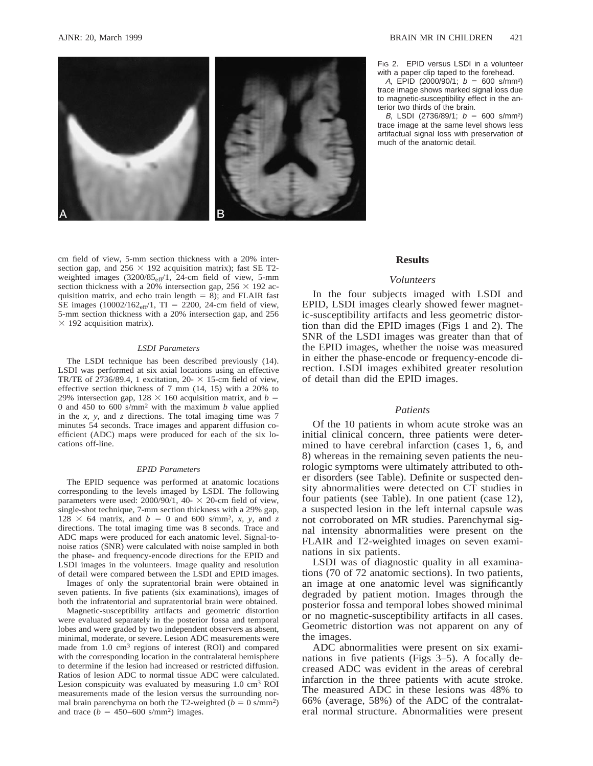



FIG 2. EPID versus LSDI in a volunteer with a paper clip taped to the forehead.

A, EPID (2000/90/1;  $b = 600$  s/mm<sup>2</sup>) trace image shows marked signal loss due to magnetic-susceptibility effect in the anterior two thirds of the brain.

B, LSDI (2736/89/1;  $b = 600$  s/mm<sup>2</sup>) trace image at the same level shows less artifactual signal loss with preservation of much of the anatomic detail.

cm field of view, 5-mm section thickness with a 20% intersection gap, and  $256 \times 192$  acquisition matrix); fast SE T2weighted images  $(3200/85<sub>eff</sub>/1, 24-cm)$  field of view, 5-mm section thickness with a 20% intersection gap,  $256 \times 192$  acquisition matrix, and echo train length  $= 8$ ); and FLAIR fast SE images  $(10002/162_{\text{eff}}/1, T I = 2200, 24$ -cm field of view, 5-mm section thickness with a 20% intersection gap, and 256  $\times$  192 acquisition matrix).

#### *LSDI Parameters*

The LSDI technique has been described previously (14). LSDI was performed at six axial locations using an effective TR/TE of 2736/89.4, 1 excitation, 20- $\times$  15-cm field of view, effective section thickness of 7 mm (14, 15) with a 20% to 29% intersection gap,  $128 \times 160$  acquisition matrix, and *b* = 0 and 450 to 600 s/mm2 with the maximum *b* value applied in the *x, y,* and *z* directions. The total imaging time was 7 minutes 54 seconds. Trace images and apparent diffusion coefficient (ADC) maps were produced for each of the six locations off-line.

#### *EPID Parameters*

The EPID sequence was performed at anatomic locations corresponding to the levels imaged by LSDI. The following parameters were used:  $2000/90/1$ , 40- $\times$  20-cm field of view, single-shot technique, 7-mm section thickness with a 29% gap,  $128 \times 64$  matrix, and  $b = 0$  and 600 s/mm<sup>2</sup>, *x*, *y*, and *z* directions. The total imaging time was 8 seconds. Trace and ADC maps were produced for each anatomic level. Signal-tonoise ratios (SNR) were calculated with noise sampled in both the phase- and frequency-encode directions for the EPID and LSDI images in the volunteers. Image quality and resolution of detail were compared between the LSDI and EPID images.

Images of only the supratentorial brain were obtained in seven patients. In five patients (six examinations), images of both the infratentorial and supratentorial brain were obtained.

Magnetic-susceptibility artifacts and geometric distortion were evaluated separately in the posterior fossa and temporal lobes and were graded by two independent observers as absent, minimal, moderate, or severe. Lesion ADC measurements were made from 1.0 cm3 regions of interest (ROI) and compared with the corresponding location in the contralateral hemisphere to determine if the lesion had increased or restricted diffusion. Ratios of lesion ADC to normal tissue ADC were calculated. Lesion conspicuity was evaluated by measuring 1.0 cm3 ROI measurements made of the lesion versus the surrounding normal brain parenchyma on both the T2-weighted ( $b = 0$  s/mm<sup>2</sup>) and trace  $(b = 450 - 600 \text{ s/mm}^2)$  images.

#### **Results**

# *Volunteers*

In the four subjects imaged with LSDI and EPID, LSDI images clearly showed fewer magnetic-susceptibility artifacts and less geometric distortion than did the EPID images (Figs 1 and 2). The SNR of the LSDI images was greater than that of the EPID images, whether the noise was measured in either the phase-encode or frequency-encode direction. LSDI images exhibited greater resolution of detail than did the EPID images.

#### *Patients*

Of the 10 patients in whom acute stroke was an initial clinical concern, three patients were determined to have cerebral infarction (cases 1, 6, and 8) whereas in the remaining seven patients the neurologic symptoms were ultimately attributed to other disorders (see Table). Definite or suspected density abnormalities were detected on CT studies in four patients (see Table). In one patient (case 12), a suspected lesion in the left internal capsule was not corroborated on MR studies. Parenchymal signal intensity abnormalities were present on the FLAIR and T2-weighted images on seven examinations in six patients.

LSDI was of diagnostic quality in all examinations (70 of 72 anatomic sections). In two patients, an image at one anatomic level was significantly degraded by patient motion. Images through the posterior fossa and temporal lobes showed minimal or no magnetic-susceptibility artifacts in all cases. Geometric distortion was not apparent on any of the images.

ADC abnormalities were present on six examinations in five patients (Figs 3–5). A focally decreased ADC was evident in the areas of cerebral infarction in the three patients with acute stroke. The measured ADC in these lesions was 48% to 66% (average, 58%) of the ADC of the contralateral normal structure. Abnormalities were present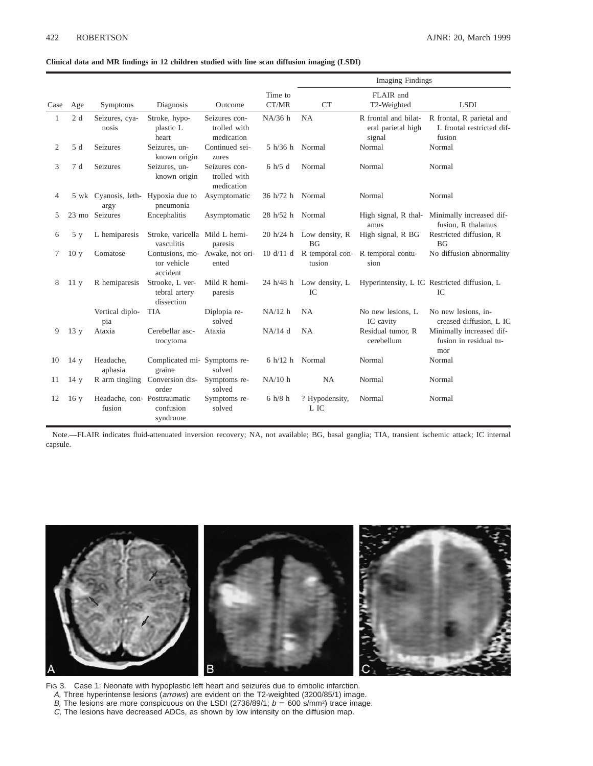# **Clinical data and MR findings in 12 children studied with line scan diffusion imaging (LSDI)**

|      |                 |                                        |                                                            |                                             |                   | <b>Imaging Findings</b>                       |                                                      |                                                                  |
|------|-----------------|----------------------------------------|------------------------------------------------------------|---------------------------------------------|-------------------|-----------------------------------------------|------------------------------------------------------|------------------------------------------------------------------|
| Case | Age             | Symptoms                               | Diagnosis                                                  | Outcome                                     | Time to<br>CT/MR  | <b>CT</b>                                     | FLAIR and<br>T2-Weighted                             | <b>LSDI</b>                                                      |
| 1    | 2d              | Seizures, cya-<br>nosis                | Stroke, hypo-<br>plastic L<br>heart                        | Seizures con-<br>trolled with<br>medication | NA/36 h           | <b>NA</b>                                     | R frontal and bilat-<br>eral parietal high<br>signal | R frontal, R parietal and<br>L frontal restricted dif-<br>fusion |
| 2    | 5 d             | <b>Seizures</b>                        | Seizures, un-<br>known origin                              | Continued sei-<br>zures                     | 5 h/36 h          | Normal                                        | Normal                                               | Normal                                                           |
| 3    | 7 d             | <b>Seizures</b>                        | Seizures, un-<br>known origin                              | Seizures con-<br>trolled with<br>medication | 6 h/5 d           | Normal                                        | Normal                                               | Normal                                                           |
| 4    |                 | argy                                   | 5 wk Cyanosis, leth- Hypoxia due to<br>pneumonia           | Asymptomatic                                | 36 h/72 h Normal  |                                               | Normal                                               | Normal                                                           |
| 5    |                 | 23 mo Seizures                         | Encephalitis                                               | Asymptomatic                                | 28 h/52 h Normal  |                                               | High signal, R thal-<br>amus                         | Minimally increased dif-<br>fusion. R thalamus                   |
| 6    | 5y              | L hemiparesis                          | Stroke, varicella Mild L hemi-<br>vasculitis               | paresis                                     |                   | 20 h/24 h Low density, $R$<br>BG <sub>f</sub> | High signal, R BG                                    | Restricted diffusion, R<br>BG                                    |
| 7    | 10 <sub>y</sub> | Comatose                               | Contusions, mo- Awake, not ori-<br>tor vehicle<br>accident | ented                                       |                   | tusion                                        | 10 d/11 d R temporal con-R temporal contu-<br>sion   | No diffusion abnormality                                         |
| 8    | 11y             | R hemiparesis                          | Strooke, L ver-<br>tebral artery<br>dissection             | Mild R hemi-<br>paresis                     | 24 h/48 h         | Low density, L<br>IC                          |                                                      | Hyperintensity, L IC Restricted diffusion, L<br>IC               |
|      |                 | Vertical diplo-<br>pia                 | <b>TIA</b>                                                 | Diplopia re-<br>solved                      | NA/12 h           | <b>NA</b>                                     | No new lesions, L<br>IC cavity                       | No new lesions, in-<br>creased diffusion, L IC                   |
| 9    | 13 <sub>y</sub> | Ataxia                                 | Cerebellar asc-<br>trocytoma                               | Ataxia                                      | $NA/14$ d         | <b>NA</b>                                     | Residual tumor, R<br>cerebellum                      | Minimally increased dif-<br>fusion in residual tu-<br>mor        |
| 10   | 14y             | Headache,<br>aphasia                   | Complicated mi- Symptoms re-<br>graine                     | solved                                      | $6 h/12 h$ Normal |                                               | Normal                                               | Normal                                                           |
| 11   | 14 y            | R arm tingling                         | Conversion dis-<br>order                                   | Symptoms re-<br>solved                      | NA/10 h           | NA                                            | Normal                                               | Normal                                                           |
| 12   | 16y             | Headache, con- Posttraumatic<br>fusion | confusion<br>syndrome                                      | Symptoms re-<br>solved                      | $6 h/8 h$         | ? Hypodensity,<br>L IC                        | Normal                                               | Normal                                                           |

Note.—FLAIR indicates fluid-attenuated inversion recovery; NA, not available; BG, basal ganglia; TIA, transient ischemic attack; IC internal capsule.



FIG 3. Case 1: Neonate with hypoplastic left heart and seizures due to embolic infarction. A, Three hyperintense lesions (arrows) are evident on the T2-weighted (3200/85/1) image. B, The lesions are more conspicuous on the LSDI (2736/89/1;  $b = 600$  s/mm<sup>2</sup>) trace image. C, The lesions have decreased ADCs, as shown by low intensity on the diffusion map.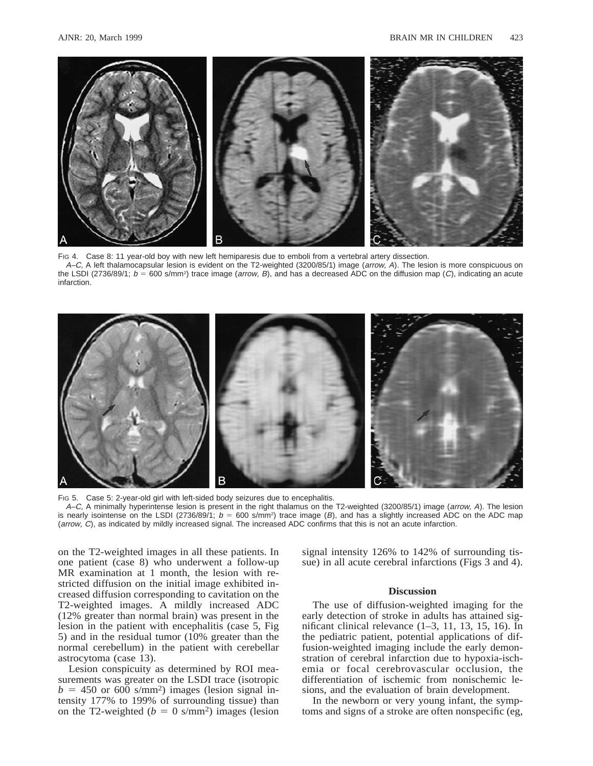

Fig 4. Case 8: 11 year-old boy with new left hemiparesis due to emboli from a vertebral artery dissection. A–C, A left thalamocapsular lesion is evident on the T2-weighted (3200/85/1) image (arrow, A). The lesion is more conspicuous on the LSDI (2736/89/1;  $b = 600$  s/mm<sup>2</sup>) trace image (*arrow, B*), and has a decreased ADC on the diffusion map (C), indicating an acute infarction.



FIG 5. Case 5: 2-year-old girl with left-sided body seizures due to encephalitis. A–C, A minimally hyperintense lesion is present in the right thalamus on the T2-weighted (3200/85/1) image (arrow, A). The lesion is nearly isointense on the LSDI (2736/89/1;  $b = 600$  s/mm<sup>2</sup>) trace image (B), and has a slightly increased ADC on the ADC map (arrow, C), as indicated by mildly increased signal. The increased ADC confirms that this is not an acute infarction.

on the T2-weighted images in all these patients. In one patient (case 8) who underwent a follow-up MR examination at 1 month, the lesion with restricted diffusion on the initial image exhibited increased diffusion corresponding to cavitation on the T2-weighted images. A mildly increased ADC (12% greater than normal brain) was present in the lesion in the patient with encephalitis (case 5, Fig 5) and in the residual tumor (10% greater than the normal cerebellum) in the patient with cerebellar astrocytoma (case 13).

Lesion conspicuity as determined by ROI measurements was greater on the LSDI trace (isotropic  $b = 450$  or 600 s/mm<sup>2</sup>) images (lesion signal intensity 177% to 199% of surrounding tissue) than on the T2-weighted ( $b = 0$  s/mm<sup>2</sup>) images (lesion signal intensity 126% to 142% of surrounding tissue) in all acute cerebral infarctions (Figs 3 and 4).

# **Discussion**

The use of diffusion-weighted imaging for the early detection of stroke in adults has attained significant clinical relevance (1–3, 11, 13, 15, 16). In the pediatric patient, potential applications of diffusion-weighted imaging include the early demonstration of cerebral infarction due to hypoxia-ischemia or focal cerebrovascular occlusion, the differentiation of ischemic from nonischemic lesions, and the evaluation of brain development.

In the newborn or very young infant, the symptoms and signs of a stroke are often nonspecific (eg,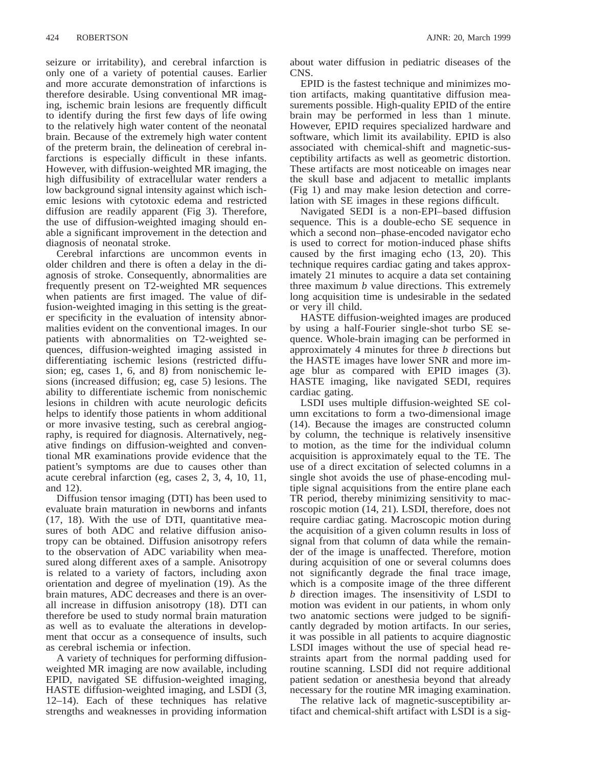seizure or irritability), and cerebral infarction is only one of a variety of potential causes. Earlier and more accurate demonstration of infarctions is therefore desirable. Using conventional MR imaging, ischemic brain lesions are frequently difficult to identify during the first few days of life owing to the relatively high water content of the neonatal brain. Because of the extremely high water content of the preterm brain, the delineation of cerebral infarctions is especially difficult in these infants. However, with diffusion-weighted MR imaging, the high diffusibility of extracellular water renders a low background signal intensity against which ischemic lesions with cytotoxic edema and restricted diffusion are readily apparent (Fig 3). Therefore, the use of diffusion-weighted imaging should enable a significant improvement in the detection and diagnosis of neonatal stroke.

Cerebral infarctions are uncommon events in older children and there is often a delay in the diagnosis of stroke. Consequently, abnormalities are frequently present on T2-weighted MR sequences when patients are first imaged. The value of diffusion-weighted imaging in this setting is the greater specificity in the evaluation of intensity abnormalities evident on the conventional images. In our patients with abnormalities on T2-weighted sequences, diffusion-weighted imaging assisted in differentiating ischemic lesions (restricted diffusion; eg, cases 1, 6, and 8) from nonischemic lesions (increased diffusion; eg, case 5) lesions. The ability to differentiate ischemic from nonischemic lesions in children with acute neurologic deficits helps to identify those patients in whom additional or more invasive testing, such as cerebral angiography, is required for diagnosis. Alternatively, negative findings on diffusion-weighted and conventional MR examinations provide evidence that the patient's symptoms are due to causes other than acute cerebral infarction (eg, cases 2, 3, 4, 10, 11, and 12).

Diffusion tensor imaging (DTI) has been used to evaluate brain maturation in newborns and infants (17, 18). With the use of DTI, quantitative measures of both ADC and relative diffusion anisotropy can be obtained. Diffusion anisotropy refers to the observation of ADC variability when measured along different axes of a sample. Anisotropy is related to a variety of factors, including axon orientation and degree of myelination (19). As the brain matures, ADC decreases and there is an overall increase in diffusion anisotropy (18). DTI can therefore be used to study normal brain maturation as well as to evaluate the alterations in development that occur as a consequence of insults, such as cerebral ischemia or infection.

A variety of techniques for performing diffusionweighted MR imaging are now available, including EPID, navigated SE diffusion-weighted imaging, HASTE diffusion-weighted imaging, and LSDI (3, 12–14). Each of these techniques has relative strengths and weaknesses in providing information

about water diffusion in pediatric diseases of the CNS.

EPID is the fastest technique and minimizes motion artifacts, making quantitative diffusion measurements possible. High-quality EPID of the entire brain may be performed in less than 1 minute. However, EPID requires specialized hardware and software, which limit its availability. EPID is also associated with chemical-shift and magnetic-susceptibility artifacts as well as geometric distortion. These artifacts are most noticeable on images near the skull base and adjacent to metallic implants (Fig 1) and may make lesion detection and correlation with SE images in these regions difficult.

Navigated SEDI is a non-EPI–based diffusion sequence. This is a double-echo SE sequence in which a second non–phase-encoded navigator echo is used to correct for motion-induced phase shifts caused by the first imaging echo (13, 20). This technique requires cardiac gating and takes approximately 21 minutes to acquire a data set containing three maximum *b* value directions. This extremely long acquisition time is undesirable in the sedated or very ill child.

HASTE diffusion-weighted images are produced by using a half-Fourier single-shot turbo SE sequence. Whole-brain imaging can be performed in approximately 4 minutes for three *b* directions but the HASTE images have lower SNR and more image blur as compared with EPID images (3). HASTE imaging, like navigated SEDI, requires cardiac gating.

LSDI uses multiple diffusion-weighted SE column excitations to form a two-dimensional image (14). Because the images are constructed column by column, the technique is relatively insensitive to motion, as the time for the individual column acquisition is approximately equal to the TE. The use of a direct excitation of selected columns in a single shot avoids the use of phase-encoding multiple signal acquisitions from the entire plane each TR period, thereby minimizing sensitivity to macroscopic motion (14, 21). LSDI, therefore, does not require cardiac gating. Macroscopic motion during the acquisition of a given column results in loss of signal from that column of data while the remainder of the image is unaffected. Therefore, motion during acquisition of one or several columns does not significantly degrade the final trace image, which is a composite image of the three different *b* direction images. The insensitivity of LSDI to motion was evident in our patients, in whom only two anatomic sections were judged to be significantly degraded by motion artifacts. In our series, it was possible in all patients to acquire diagnostic LSDI images without the use of special head restraints apart from the normal padding used for routine scanning. LSDI did not require additional patient sedation or anesthesia beyond that already necessary for the routine MR imaging examination.

The relative lack of magnetic-susceptibility artifact and chemical-shift artifact with LSDI is a sig